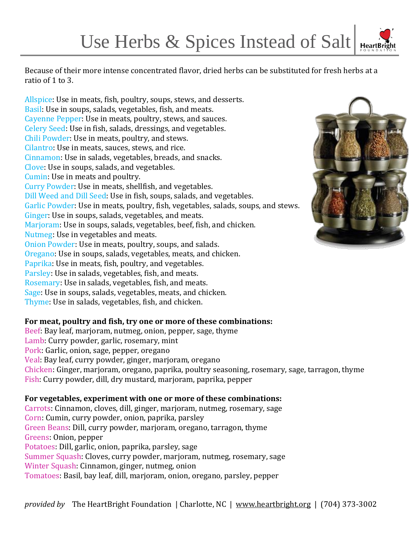Because of their more intense concentrated flavor, dried herbs can be substituted for fresh herbs at a ratio of 1 to 3.

Allspice: Use in meats, fish, poultry, soups, stews, and desserts. Basil: Use in soups, salads, vegetables, fish, and meats. Cayenne Pepper: Use in meats, poultry, stews, and sauces. Celery Seed: Use in fish, salads, dressings, and vegetables. Chili Powder: Use in meats, poultry, and stews. Cilantro: Use in meats, sauces, stews, and rice. Cinnamon: Use in salads, vegetables, breads, and snacks. Clove: Use in soups, salads, and vegetables. Cumin: Use in meats and poultry. Curry Powder: Use in meats, shellfish, and vegetables. Dill Weed and Dill Seed: Use in fish, soups, salads, and vegetables. Garlic Powder: Use in meats, poultry, fish, vegetables, salads, soups, and stews. Ginger: Use in soups, salads, vegetables, and meats. Marjoram: Use in soups, salads, vegetables, beef, fish, and chicken. Nutmeg: Use in vegetables and meats. Onion Powder: Use in meats, poultry, soups, and salads. Oregano: Use in soups, salads, vegetables, meats, and chicken. Paprika: Use in meats, fish, poultry, and vegetables. Parsley: Use in salads, vegetables, fish, and meats. Rosemary: Use in salads, vegetables, fish, and meats. Sage: Use in soups, salads, vegetables, meats, and chicken. Thyme: Use in salads, vegetables, fish, and chicken.

## **For meat, poultry and fish, try one or more of these combinations:**

Beef: Bay leaf, marjoram, nutmeg, onion, pepper, sage, thyme Lamb: Curry powder, garlic, rosemary, mint Pork: Garlic, onion, sage, pepper, oregano Veal: Bay leaf, curry powder, ginger, marjoram, oregano Chicken: Ginger, marjoram, oregano, paprika, poultry seasoning, rosemary, sage, tarragon, thyme Fish: Curry powder, dill, dry mustard, marjoram, paprika, pepper

#### **For vegetables, experiment with one or more of these combinations:**

Carrots: Cinnamon, cloves, dill, ginger, marjoram, nutmeg, rosemary, sage Corn: Cumin, curry powder, onion, paprika, parsley Green Beans: Dill, curry powder, marjoram, oregano, tarragon, thyme Greens: Onion, pepper Potatoes: Dill, garlic, onion, paprika, parsley, sage Summer Squash: Cloves, curry powder, marjoram, nutmeg, rosemary, sage Winter Squash: Cinnamon, ginger, nutmeg, onion Tomatoes: Basil, bay leaf, dill, marjoram, onion, oregano, parsley, pepper